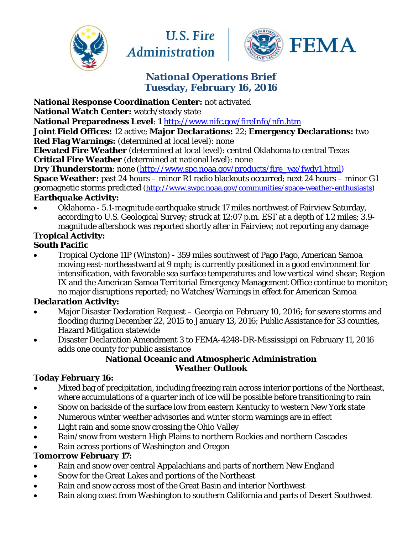





# **National Operations Brief Tuesday, February 16, 2016**

**National Response Coordination Center:** not activated

**National Watch Center:** watch/steady state

**National Preparedness Level**: **1** <http://www.nifc.gov/fireInfo/nfn.htm>

**Joint Field Offices:** 12 active; **Major Declarations:** 22; **Emergency Declarations:** two **Red Flag Warnings:** (determined at local level): none

**Elevated Fire Weather** (determined at local level): central Oklahoma to central Texas **Critical Fire Weather** (determined at national level): none

**Dry Thunderstorm**: none [\(http://www.spc.noaa.gov/products/fire\\_wx/fwdy1.html\)](http://www.spc.noaa.gov/products/fire_wx/fwdy1.html) **Space Weather:** past 24 hours – minor R1 radio blackouts occurred; next 24 hours – minor G1 geomagnetic storms predicted [\(http://www.swpc.noaa.gov/communities/space-weather-enthusiasts\)](http://www.swpc.noaa.gov/communities/space-weather-enthusiasts)

#### **Earthquake Activity:**

• Oklahoma - 5.1-magnitude earthquake struck 17 miles northwest of Fairview Saturday, according to U.S. Geological Survey; struck at 12:07 p.m. EST at a depth of 1.2 miles; 3.9 magnitude aftershock was reported shortly after in Fairview; not reporting any damage

# **Tropical Activity:**

#### **South Pacific**

• Tropical Cyclone 11P (Winston) - 359 miles southwest of Pago Pago, American Samoa moving east-northeastward at 9 mph; is currently positioned in a good environment for intensification, with favorable sea surface temperatures and low vertical wind shear; Region IX and the American Samoa Territorial Emergency Management Office continue to monitor; no major disruptions reported; no Watches/Warnings in effect for American Samoa

## **Declaration Activity:**

- Major Disaster Declaration Request Georgia on February 10, 2016; for severe storms and flooding during December 22, 2015 to January 13, 2016; Public Assistance for 33 counties, Hazard Mitigation statewide
- Disaster Declaration Amendment 3 to FEMA-4248-DR-Mississippi on February 11, 2016 adds one county for public assistance

#### **National Oceanic and Atmospheric Administration Weather Outlook**

## **Today February 16:**

- Mixed bag of precipitation, including freezing rain across interior portions of the Northeast, where accumulations of a quarter inch of ice will be possible before transitioning to rain
- Snow on backside of the surface low from eastern Kentucky to western New York state
- Numerous winter weather advisories and winter storm warnings are in effect
- Light rain and some snow crossing the Ohio Valley
- Rain/snow from western High Plains to northern Rockies and northern Cascades
- Rain across portions of Washington and Oregon

## **Tomorrow February 17:**

- Rain and snow over central Appalachians and parts of northern New England
- Snow for the Great Lakes and portions of the Northeast
- Rain and snow across most of the Great Basin and interior Northwest
- Rain along coast from Washington to southern California and parts of Desert Southwest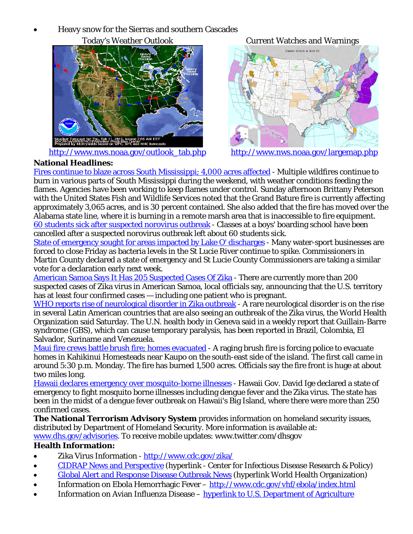• Heavy snow for the Sierras and southern Cascades



[http://www.nws.noaa.gov/outlook\\_tab.php](http://www.nws.noaa.gov/outlook_tab.php) <http://www.nws.noaa.gov/largemap.php>

Today's Weather Outlook Current Watches and Warnings



#### **National Headlines:**

[Fires continue to blaze across South Mississippi; 4,000 acres affected](http://www.kait8.com/story/31215133/fires-continue-to-blaze-across-south-mississippi?sf20917939=1) - Multiple wildfires continue to burn in various parts of South Mississippi during the weekend, with weather conditions feeding the flames. Agencies have been working to keep flames under control. Sunday afternoon Brittany Peterson with the United States Fish and Wildlife Services noted that the Grand Bature fire is currently affecting approximately 3,065 acres, and is 30 percent contained. She also added that the fire has moved over the Alabama state line, where it is burning in a remote marsh area that is inaccessible to fire equipment. [60 students sick after suspected norovirus outbreak](http://hosted.ap.org/dynamic/stories/U/US_BOARDING_SCHOOL_NOROVIRUS?SITE=AP&SECTION=HOME&TEMPLATE=DEFAULT&CTIME=2016-02-13-17-10-45) - Classes at a boys' boarding school have been cancelled after a suspected norovirus outbreak left about 60 students sick.

[State of emergency sought for areas impacted by Lake O' discharges](http://cbs12.com/news/local/state-of-emergency-sought-for-areas-impacted-by-lake-o-discharges) - Many water-sport businesses are forced to close Friday as bacteria levels in the St Lucie River continue to spike. Commissioners in Martin County declared a state of emergency and St Lucie County Commissioners are taking a similar vote for a declaration early next week.

[American Samoa Says It Has 205 Suspected Cases Of Zika](http://www.npr.org/sections/thetwo-way/2016/02/15/466834461/american-samoa-says-it-has-205-suspected-cases-of-zika?utm_source=twitter.com&utm_campaign=npr&utm_medium=social&utm_term=nprnews) - There are currently more than 200 suspected cases of Zika virus in American Samoa, local officials say, announcing that the U.S. territory has at least four confirmed cases — including one patient who is pregnant.

[WHO reports rise of neurological disorder in Zika outbreak](http://www.bigstory.ap.org/article/1d444fedb031450f813be5a21dbd411f/who-reports-rise-neurological-disorder-zika-outbreak) - A rare neurological disorder is on the rise in several Latin American countries that are also seeing an outbreak of the Zika virus, the World Health Organization said Saturday. The U.N. health body in Geneva said in a weekly report that Guillain-Barre syndrome (GBS), which can cause temporary paralysis, has been reported in Brazil, Colombia, El Salvador, Suriname and Venezuela.

[Maui fire crews battle brush fire; homes evacuated](http://khon2.com/2016/02/15/maui-fire-crews-battle-brush-fire-homes-evacuated/?utm_source=dlvr.it&utm_medium=twitter) - A raging brush fire is forcing police to evacuate homes in Kahikinui Homesteads near Kaupo on the south-east side of the island. The first call came in around 5:30 p.m. Monday. The fire has burned 1,500 acres. Officials say the fire front is huge at about two miles long.

[Hawaii declares emergency over mosquito-borne illnesses](http://news.yahoo.com/hawaii-declares-emergency-over-mosquito-borne-illnesses-033752555.html) - Hawaii Gov. David Ige declared a state of emergency to fight mosquito borne illnesses including dengue fever and the Zika virus. The state has been in the midst of a dengue fever outbreak on Hawaii's Big Island, where there were more than 250 confirmed cases.

**The National Terrorism Advisory System** provides information on homeland security issues, distributed by Department of Homeland Security. More information is available at:

[www.dhs.gov/advisories.](http://www.dhs.gov/advisories) To receive mobile updates: www.twitter.com/dhsgov

#### **Health Information:**

- Zika Virus Information -<http://www.cdc.gov/zika/>
- [CIDRAP News and Perspective](http://www.cidrap.umn.edu/news-perspective) (hyperlink Center for Infectious Disease Research & Policy)
- [Global Alert and Response Disease Outbreak News](http://www.who.int/csr/don/en/) (hyperlink World Health Organization)
- Information on Ebola Hemorrhagic Fever –<http://www.cdc.gov/vhf/ebola/index.html>
- Information on Avian Influenza Disease – [hyperlink to U.S. Department of Agriculture](https://www.aphis.usda.gov/aphis/ourfocus/animalhealth/animal-disease-information/avian-influenza-disease/!ut/p/z1/vZJLc5swFIV_SxZdanR5SlqC7QA22J36zYYRIIxaHg4Qp-mvLzjMNNOOnW5a7aR7r-6c7xwc4gMOK36RJ97JuuJFfz-GZrRUJg5QXfGd2VQBy2XewiUmOKaB99eGiWO5OvEBQKcqeFPbnRIWAHgmDvvyfOWqig2q56zZDLzl7jGgPtFWro53OMRhUnXnLsdHfs5lGyV11YmqiwoZN7x5_QQtj-rnJsrq5Lm93nglS15EueBFl79_SWUreCsiWWV1U15FvJUvkldj_7DwnMgUH1mSZYxpBInYYEhPqUAxiBgJNdaFoZmcGcko8A6BQSDcOBb08-FvDJyZ3TN49D-TxVyFhTE23GP40ZK3Bn-lTxR7Df5q55pgzTbbzZIqtsdUfOxVkJs-MB2vf2HRBMQpN2JkiowinTKGmCEoYowQTtWUEE3D84-M7ZOjNsEkOPXf8i5HgyX4cNeqYUZ-fXoKrT4SQwi-d_jwLzIx4rhlamDi_UWKF7ythoniPZy_yowLI587sflfWv_M_7ncllR7Rd--uD82WbmnHX3ZZHlxsh4efgJ_YxZ6/dz/d5/L2dBISEvZ0FBIS9nQSEh/?urile=wcm%3Apath%3A%2Faphis_content_library%2Fsa_our_focus%2Fsa_animal_health%2Fsa_animal_disease_information%2Fsa_avian_health)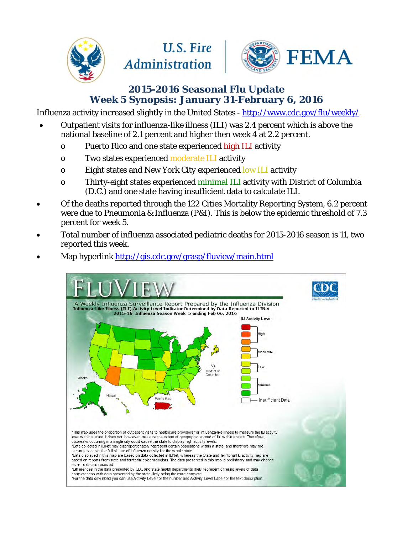

# **U.S. Fire Administration**



# **2015-2016 Seasonal Flu Update Week 5 Synopsis: January 31-February 6, 2016**

Influenza activity increased slightly in the United States -<http://www.cdc.gov/flu/weekly/>

- Outpatient visits for influenza-like illness (ILI) was 2.4 percent which is above the national baseline of 2.1 percent and higher then week 4 at 2.2 percent.
	- o Puerto Rico and one state experienced high ILI activity
	- o Two states experienced moderate ILI activity
	- o Eight states and New York City experienced low ILI activity
	- o Thirty-eight states experienced minimal ILI activity with District of Columbia (D.C.) and one state having insufficient data to calculate ILI.
- Of the deaths reported through the 122 Cities Mortality Reporting System, 6.2 percent were due to Pneumonia & Influenza (P&I). This is below the epidemic threshold of 7.3 percent for week 5.
- Total number of influenza associated pediatric deaths for 2015-2016 season is 11, two reported this week.



Map hyperlink<http://gis.cdc.gov/grasp/fluview/main.html>